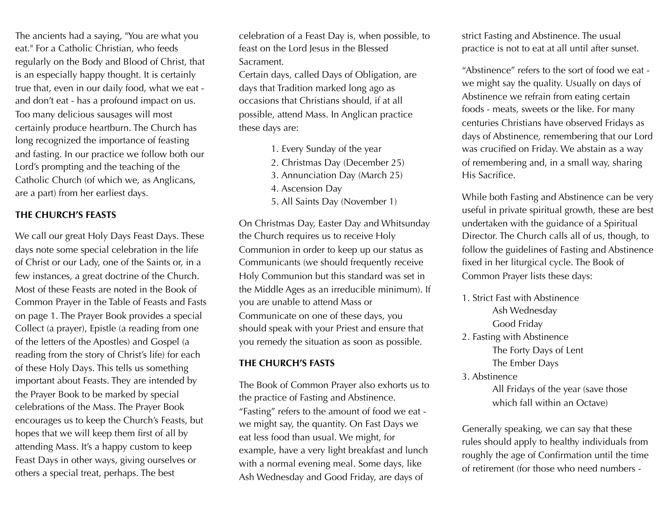The ancients had a saying, "You are what you eat." For a Catholic Christian, who feeds regularly on the Body and Blood of Christ, that is an especially happy thought. It is certainly true that, even in our daily food, what we eat and don't eat - has a profound impact on us. Too many delicious sausages will most certainly produce heartburn. The Church has long recognized the importance of feasting and fasting. In our practice we follow both our Lord's prompting and the teaching of the Catholic Church (of which we, as Anglicans, are a part) from her earliest days.

## **THE CHURCH'S FEASTS**

We call our great Holy Days Feast Days. These days note some special celebration in the life of Christ or our Lady, one of the Saints or, in a few instances, a great doctrine of the Church. Most of these Feasts are noted in the Book of Common Prayer in the Table of Feasts and Fasts on page 1. The Prayer Book provides a special Collect (a prayer), Epistle (a reading from one of the letters of the Apostles) and Gospel (a reading from the story of Christ's life) for each of these Holy Days. This tells us something important about Feasts. They are intended by the Prayer Book to be marked by special celebrations of the Mass. The Prayer Book encourages us to keep the Church's Feasts, but hopes that we will keep them first of all by attending Mass. It's a happy custom to keep Feast Days in other ways, giving ourselves or others a special treat, perhaps. The best

celebration of a Feast Day is, when possible, to feast on the Lord Jesus in the Blessed Sacrament.

Certain days, called Days of Obligation, are days that Tradition marked long ago as occasions that Christians should, if at all possible, attend Mass. In Anglican practice these days are:

- 1. Every Sunday of the year
- 2. Christmas Day (December 25)
- 3. Annunciation Day (March 25)
- 4. Ascension Day
- 5. All Saints Day (November 1)

On Christmas Day, Easter Day and Whitsunday the Church requires us to receive Holy Communion in order to keep up our status as Communicants (we should frequently receive Holy Communion but this standard was set in the Middle Ages as an irreducible minimum). If you are unable to attend Mass or Communicate on one of these days, you should speak with your Priest and ensure that you remedy the situation as soon as possible.

#### **THE CHURCH'S FASTS**

The Book of Common Prayer also exhorts us to the practice of Fasting and Abstinence. "Fasting" refers to the amount of food we eat we might say, the quantity. On Fast Days we eat less food than usual. We might, for example, have a very light breakfast and lunch with a normal evening meal. Some days, like Ash Wednesday and Good Friday, are days of

strict Fasting and Abstinence. The usual practice is not to eat at all until after sunset.

"Abstinence" refers to the sort of food we eat we might say the quality. Usually on days of Abstinence we refrain from eating certain foods - meats, sweets or the like. For many centuries Christians have observed Fridays as days of Abstinence, remembering that our Lord was crucified on Friday. We abstain as a way of remembering and, in a small way, sharing His Sacrifice.

While both Fasting and Abstinence can be very useful in private spiritual growth, these are best undertaken with the guidance of a Spiritual Director. The Church calls all of us, though, to follow the guidelines of Fasting and Abstinence fixed in her liturgical cycle. The Book of Common Prayer lists these days:

- 1. Strict Fast with Abstinence Ash Wednesday Good Friday 2. Fasting with Abstinence The Forty Days of Lent The Ember Days
- 3. Abstinence

 All Fridays of the year (save those which fall within an Octave)

Generally speaking, we can say that these rules should apply to healthy individuals from roughly the age of Confirmation until the time of retirement (for those who need numbers -